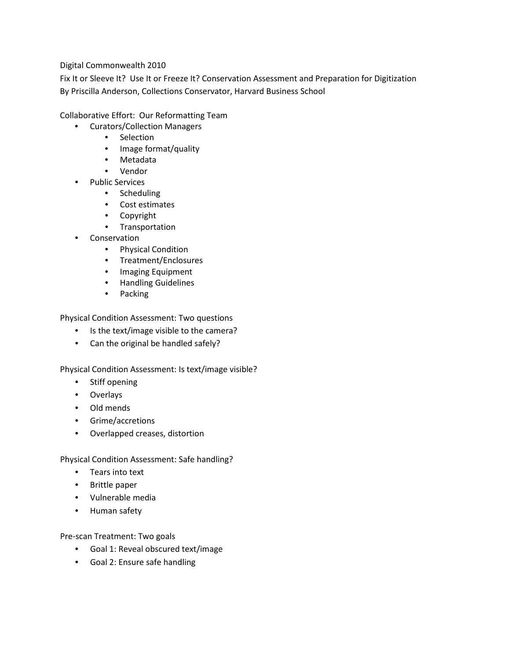Digital Commonwealth 2010

Fix It or Sleeve It? Use It or Freeze It? Conservation Assessment and Preparation for Digitization By Priscilla Anderson, Collections Conservator, Harvard Business School

Collaborative Effort: Our Reformatting Team

- Curators/Collection Managers
	- Selection
	- Image format/quality
	- Metadata
	- Vendor
- Public Services
	- Scheduling
	- Cost estimates
	- Copyright
	- Transportation
- **Conservation** 
	- Physical Condition
	- Treatment/Enclosures
	- Imaging Equipment
	- Handling Guidelines
	- Packing

Physical Condition Assessment: Two questions

- Is the text/image visible to the camera?
- Can the original be handled safely?

Physical Condition Assessment: Is text/image visible?

- Stiff opening
- Overlays
- Old mends
- Grime/accretions
- Overlapped creases, distortion

Physical Condition Assessment: Safe handling?

- Tears into text
- Brittle paper
- Vulnerable media
- Human safety

Pre-scan Treatment: Two goals

- Goal 1: Reveal obscured text/image
- Goal 2: Ensure safe handling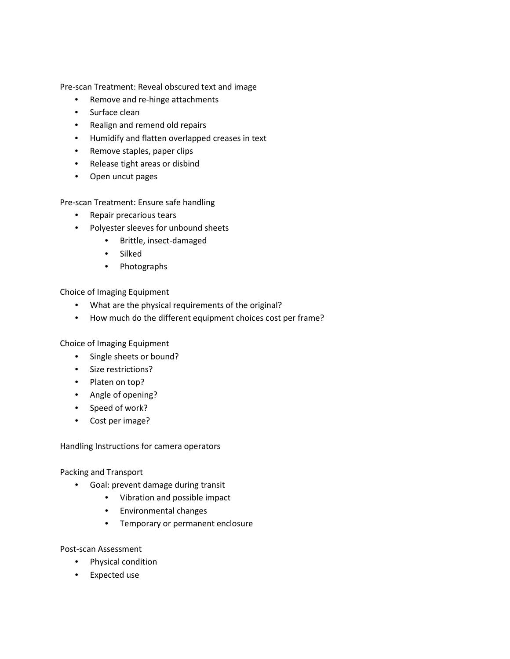Pre-scan Treatment: Reveal obscured text and image

- Remove and re-hinge attachments
- Surface clean
- Realign and remend old repairs
- Humidify and flatten overlapped creases in text
- Remove staples, paper clips
- Release tight areas or disbind
- Open uncut pages

Pre-scan Treatment: Ensure safe handling

- Repair precarious tears
- Polyester sleeves for unbound sheets
	- Brittle, insect-damaged
	- Silked
	- Photographs

Choice of Imaging Equipment

- What are the physical requirements of the original?
- How much do the different equipment choices cost per frame?

Choice of Imaging Equipment

- Single sheets or bound?
- Size restrictions?
- Platen on top?
- Angle of opening?
- Speed of work?
- Cost per image?

Handling Instructions for camera operators

Packing and Transport

- Goal: prevent damage during transit
	- Vibration and possible impact
	- Environmental changes
	- Temporary or permanent enclosure

Post-scan Assessment

- Physical condition
- Expected use